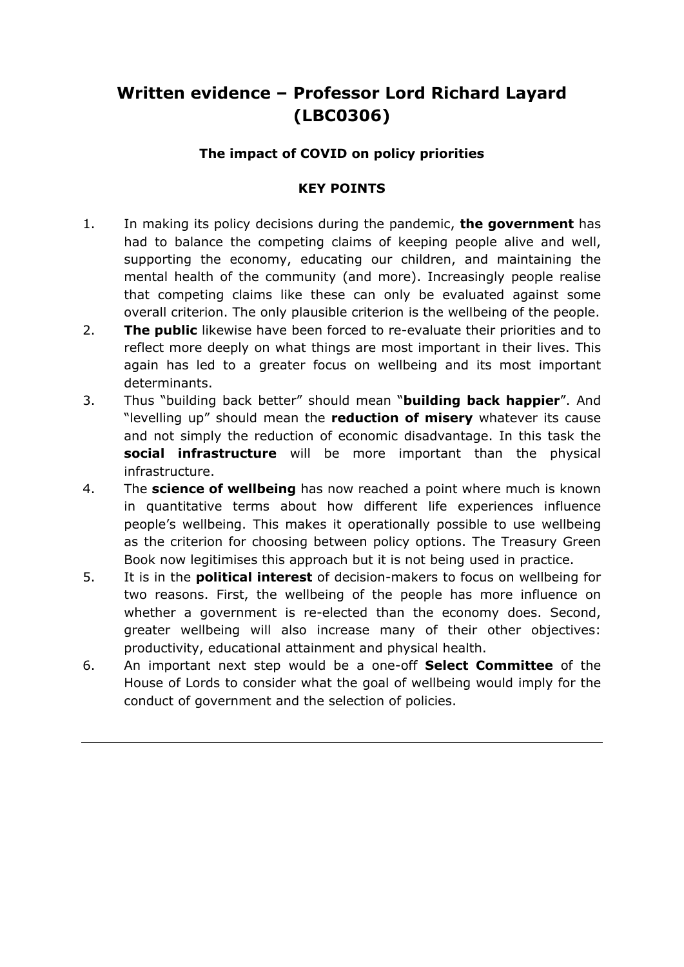# **Written evidence – Professor Lord Richard Layard (LBC0306)**

## **The impact of COVID on policy priorities**

## **KEY POINTS**

- 1. In making its policy decisions during the pandemic, **the government** has had to balance the competing claims of keeping people alive and well, supporting the economy, educating our children, and maintaining the mental health of the community (and more). Increasingly people realise that competing claims like these can only be evaluated against some overall criterion. The only plausible criterion is the wellbeing of the people.
- 2. **The public** likewise have been forced to re-evaluate their priorities and to reflect more deeply on what things are most important in their lives. This again has led to a greater focus on wellbeing and its most important determinants.
- 3. Thus "building back better" should mean "**building back happier**". And "levelling up" should mean the **reduction of misery** whatever its cause and not simply the reduction of economic disadvantage. In this task the **social infrastructure** will be more important than the physical infrastructure.
- 4. The **science of wellbeing** has now reached a point where much is known in quantitative terms about how different life experiences influence people's wellbeing. This makes it operationally possible to use wellbeing as the criterion for choosing between policy options. The Treasury Green Book now legitimises this approach but it is not being used in practice.
- 5. It is in the **political interest** of decision-makers to focus on wellbeing for two reasons. First, the wellbeing of the people has more influence on whether a government is re-elected than the economy does. Second, greater wellbeing will also increase many of their other objectives: productivity, educational attainment and physical health.
- 6. An important next step would be a one-off **Select Committee** of the House of Lords to consider what the goal of wellbeing would imply for the conduct of government and the selection of policies.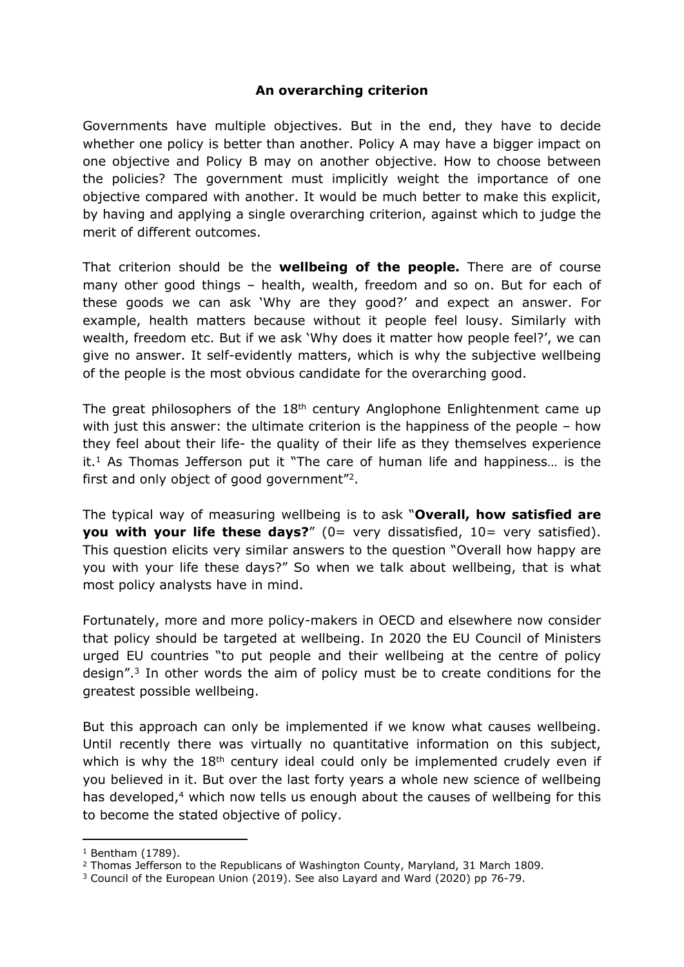## **An overarching criterion**

Governments have multiple objectives. But in the end, they have to decide whether one policy is better than another. Policy A may have a bigger impact on one objective and Policy B may on another objective. How to choose between the policies? The government must implicitly weight the importance of one objective compared with another. It would be much better to make this explicit, by having and applying a single overarching criterion, against which to judge the merit of different outcomes.

That criterion should be the **wellbeing of the people.** There are of course many other good things – health, wealth, freedom and so on. But for each of these goods we can ask 'Why are they good?' and expect an answer. For example, health matters because without it people feel lousy. Similarly with wealth, freedom etc. But if we ask 'Why does it matter how people feel?', we can give no answer. It self-evidently matters, which is why the subjective wellbeing of the people is the most obvious candidate for the overarching good.

The great philosophers of the  $18<sup>th</sup>$  century Anglophone Enlightenment came up with just this answer: the ultimate criterion is the happiness of the people – how they feel about their life- the quality of their life as they themselves experience it.<sup>1</sup> As Thomas Jefferson put it "The care of human life and happiness… is the first and only object of good government"<sup>2</sup>.

The typical way of measuring wellbeing is to ask "**Overall, how satisfied are you with your life these days?**" (0= very dissatisfied, 10= very satisfied). This question elicits very similar answers to the question "Overall how happy are you with your life these days?" So when we talk about wellbeing, that is what most policy analysts have in mind.

Fortunately, more and more policy-makers in OECD and elsewhere now consider that policy should be targeted at wellbeing. In 2020 the EU Council of Ministers urged EU countries "to put people and their wellbeing at the centre of policy design".<sup>3</sup> In other words the aim of policy must be to create conditions for the greatest possible wellbeing.

But this approach can only be implemented if we know what causes wellbeing. Until recently there was virtually no quantitative information on this subject, which is why the 18<sup>th</sup> century ideal could only be implemented crudely even if you believed in it. But over the last forty years a whole new science of wellbeing has developed,<sup>4</sup> which now tells us enough about the causes of wellbeing for this to become the stated objective of policy.

 $1$  Bentham (1789).

<sup>2</sup> Thomas Jefferson to the Republicans of Washington County, Maryland, 31 March 1809.

<sup>3</sup> Council of the European Union (2019). See also Layard and Ward (2020) pp 76-79.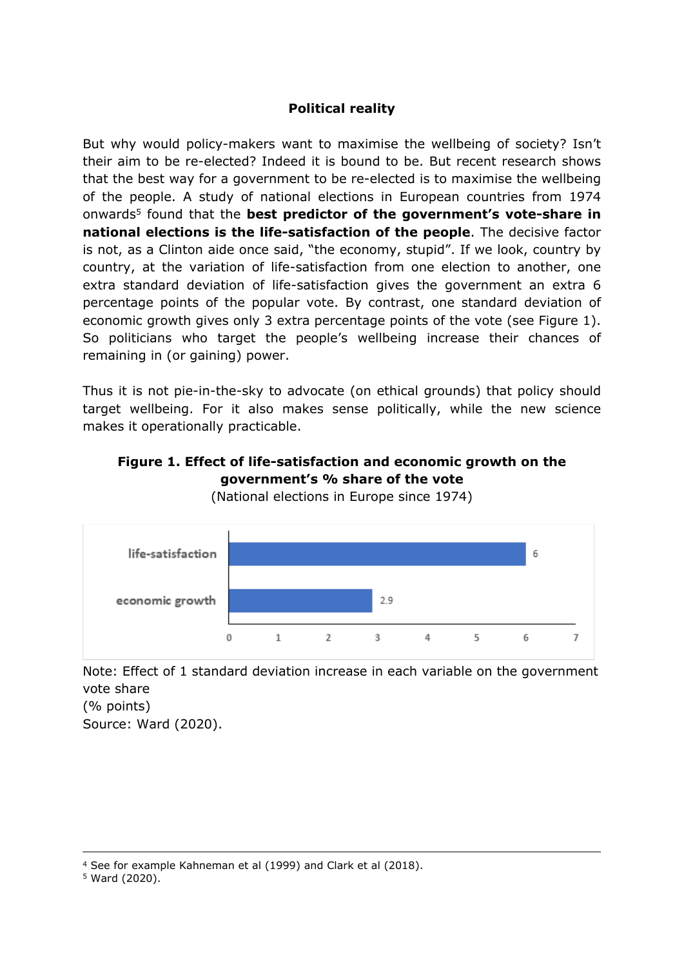## **Political reality**

But why would policy-makers want to maximise the wellbeing of society? Isn't their aim to be re-elected? Indeed it is bound to be. But recent research shows that the best way for a government to be re-elected is to maximise the wellbeing of the people. A study of national elections in European countries from 1974 onwards<sup>5</sup> found that the **best predictor of the government's vote-share in national elections is the life-satisfaction of the people**. The decisive factor is not, as a Clinton aide once said, "the economy, stupid". If we look, country by country, at the variation of life-satisfaction from one election to another, one extra standard deviation of life-satisfaction gives the government an extra 6 percentage points of the popular vote. By contrast, one standard deviation of economic growth gives only 3 extra percentage points of the vote (see Figure 1). So politicians who target the people's wellbeing increase their chances of remaining in (or gaining) power.

Thus it is not pie-in-the-sky to advocate (on ethical grounds) that policy should target wellbeing. For it also makes sense politically, while the new science makes it operationally practicable.

## **Figure 1. Effect of life-satisfaction and economic growth on the government's % share of the vote**



(National elections in Europe since 1974)

Note: Effect of 1 standard deviation increase in each variable on the government vote share (% points) Source: Ward (2020).

<sup>4</sup> See for example Kahneman et al (1999) and Clark et al (2018).

<sup>5</sup> Ward (2020).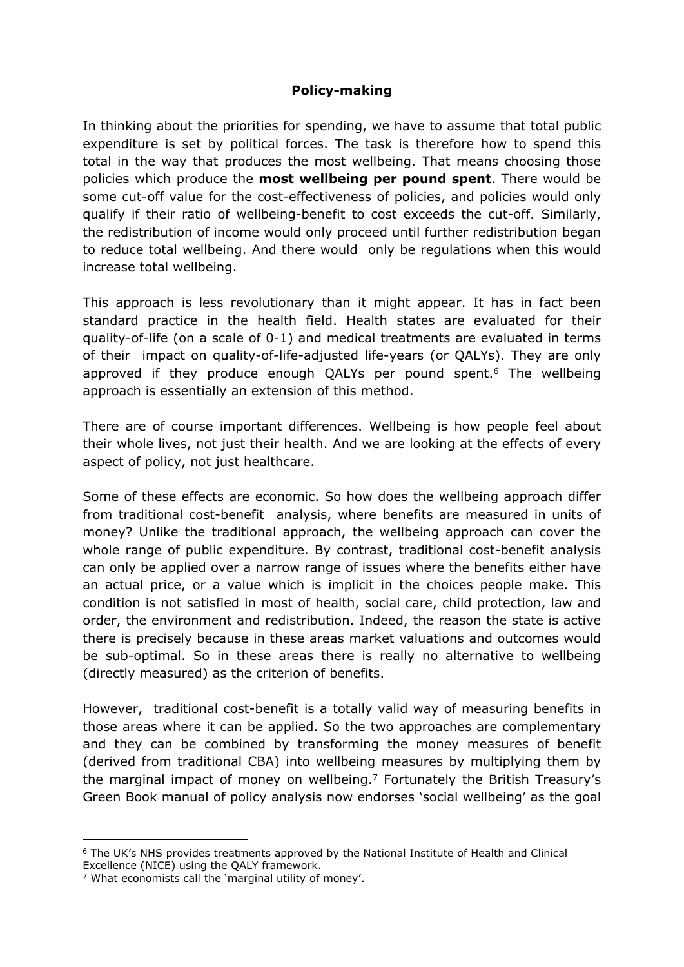## **Policy-making**

In thinking about the priorities for spending, we have to assume that total public expenditure is set by political forces. The task is therefore how to spend this total in the way that produces the most wellbeing. That means choosing those policies which produce the **most wellbeing per pound spent**. There would be some cut-off value for the cost-effectiveness of policies, and policies would only qualify if their ratio of wellbeing-benefit to cost exceeds the cut-off. Similarly, the redistribution of income would only proceed until further redistribution began to reduce total wellbeing. And there would only be regulations when this would increase total wellbeing.

This approach is less revolutionary than it might appear. It has in fact been standard practice in the health field. Health states are evaluated for their quality-of-life (on a scale of 0-1) and medical treatments are evaluated in terms of their impact on quality-of-life-adjusted life-years (or QALYs). They are only approved if they produce enough QALYs per pound spent.<sup>6</sup> The wellbeing approach is essentially an extension of this method.

There are of course important differences. Wellbeing is how people feel about their whole lives, not just their health. And we are looking at the effects of every aspect of policy, not just healthcare.

Some of these effects are economic. So how does the wellbeing approach differ from traditional cost-benefit analysis, where benefits are measured in units of money? Unlike the traditional approach, the wellbeing approach can cover the whole range of public expenditure. By contrast, traditional cost-benefit analysis can only be applied over a narrow range of issues where the benefits either have an actual price, or a value which is implicit in the choices people make. This condition is not satisfied in most of health, social care, child protection, law and order, the environment and redistribution. Indeed, the reason the state is active there is precisely because in these areas market valuations and outcomes would be sub-optimal. So in these areas there is really no alternative to wellbeing (directly measured) as the criterion of benefits.

However, traditional cost-benefit is a totally valid way of measuring benefits in those areas where it can be applied. So the two approaches are complementary and they can be combined by transforming the money measures of benefit (derived from traditional CBA) into wellbeing measures by multiplying them by the marginal impact of money on wellbeing.<sup>7</sup> Fortunately the British Treasury's Green Book manual of policy analysis now endorses 'social wellbeing' as the goal

<sup>6</sup> The UK's NHS provides treatments approved by the National Institute of Health and Clinical Excellence (NICE) using the QALY framework.

<sup>7</sup> What economists call the 'marginal utility of money'.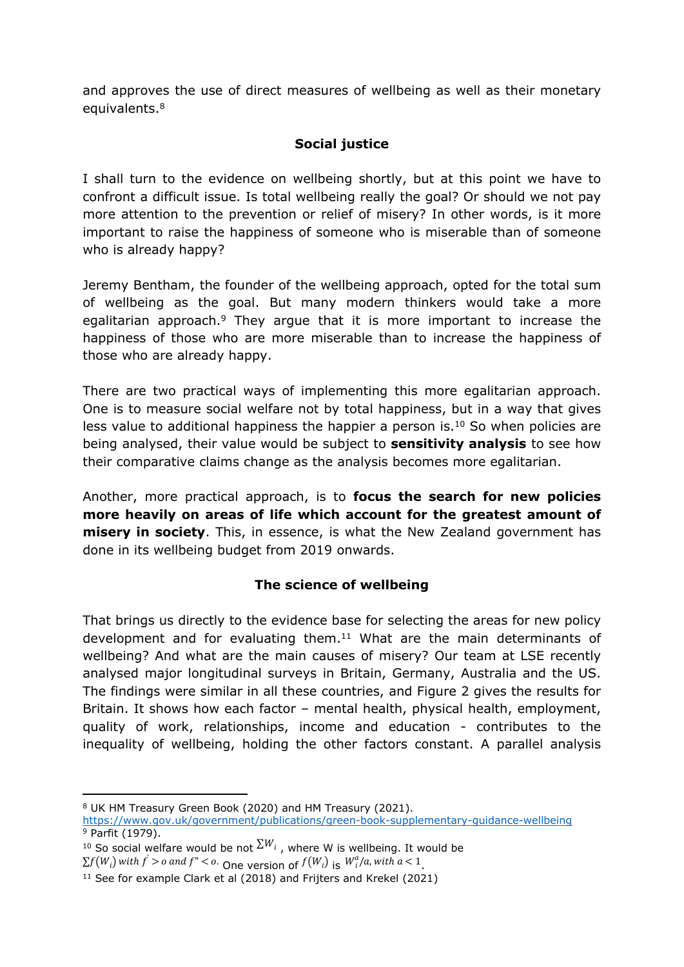and approves the use of direct measures of wellbeing as well as their monetary equivalents.<sup>8</sup>

## **Social justice**

I shall turn to the evidence on wellbeing shortly, but at this point we have to confront a difficult issue. Is total wellbeing really the goal? Or should we not pay more attention to the prevention or relief of misery? In other words, is it more important to raise the happiness of someone who is miserable than of someone who is already happy?

Jeremy Bentham, the founder of the wellbeing approach, opted for the total sum of wellbeing as the goal. But many modern thinkers would take a more egalitarian approach.<sup>9</sup> They argue that it is more important to increase the happiness of those who are more miserable than to increase the happiness of those who are already happy.

There are two practical ways of implementing this more egalitarian approach. One is to measure social welfare not by total happiness, but in a way that gives less value to additional happiness the happier a person is.<sup>10</sup> So when policies are being analysed, their value would be subject to **sensitivity analysis** to see how their comparative claims change as the analysis becomes more egalitarian.

Another, more practical approach, is to **focus the search for new policies more heavily on areas of life which account for the greatest amount of misery in society**. This, in essence, is what the New Zealand government has done in its wellbeing budget from 2019 onwards.

## **The science of wellbeing**

That brings us directly to the evidence base for selecting the areas for new policy development and for evaluating them.<sup>11</sup> What are the main determinants of wellbeing? And what are the main causes of misery? Our team at LSE recently analysed major longitudinal surveys in Britain, Germany, Australia and the US. The findings were similar in all these countries, and Figure 2 gives the results for Britain. It shows how each factor – mental health, physical health, employment, quality of work, relationships, income and education - contributes to the inequality of wellbeing, holding the other factors constant. A parallel analysis

<sup>8</sup> UK HM Treasury Green Book (2020) and HM Treasury (2021).

<https://www.gov.uk/government/publications/green-book-supplementary-guidance-wellbeing> <sup>9</sup> Parfit (1979).

<sup>&</sup>lt;sup>10</sup> So social welfare would be not  $\Sigma^{W_i}$ , where W is wellbeing. It would be

 $\sum f(W_i)$  with  $f' > o$  and  $f'' < o$ . One version of  $f(W_i)$  is  $W_i^a/a$ , with  $a < 1$ .

<sup>11</sup> See for example Clark et al (2018) and Frijters and Krekel (2021)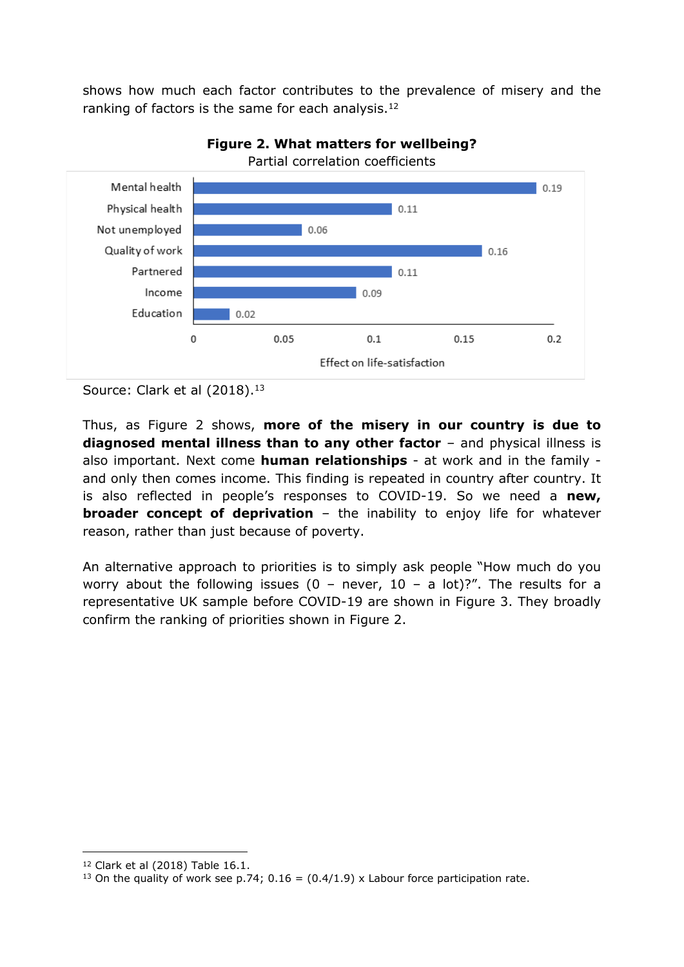shows how much each factor contributes to the prevalence of misery and the ranking of factors is the same for each analysis.<sup>12</sup>



**Figure 2. What matters for wellbeing?** Partial correlation coefficients

Source: Clark et al (2018).<sup>13</sup>

Thus, as Figure 2 shows, **more of the misery in our country is due to diagnosed mental illness than to any other factor** – and physical illness is also important. Next come **human relationships** - at work and in the family and only then comes income. This finding is repeated in country after country. It is also reflected in people's responses to COVID-19. So we need a **new, broader concept of deprivation** – the inability to enjoy life for whatever reason, rather than just because of poverty.

An alternative approach to priorities is to simply ask people "How much do you worry about the following issues (0 – never, 10 – a lot)?". The results for a representative UK sample before COVID-19 are shown in Figure 3. They broadly confirm the ranking of priorities shown in Figure 2.

<sup>12</sup> Clark et al (2018) Table 16.1.

<sup>&</sup>lt;sup>13</sup> On the quality of work see p.74;  $0.16 = (0.4/1.9)$  x Labour force participation rate.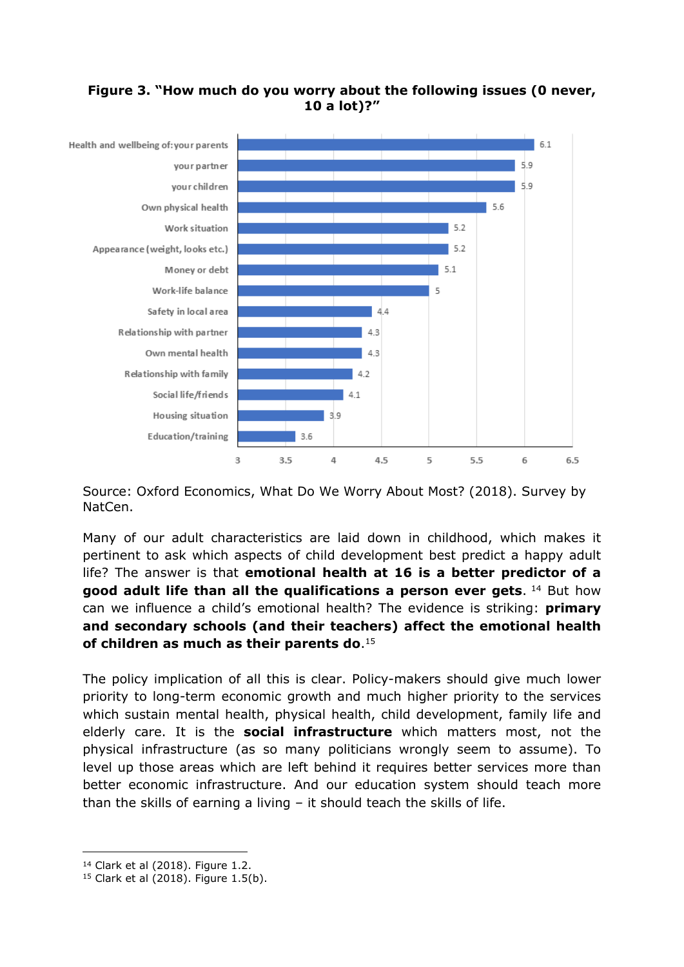#### **Figure 3. "How much do you worry about the following issues (0 never, 10 a lot)?"**



Source: Oxford Economics, What Do We Worry About Most? (2018). Survey by NatCen.

Many of our adult characteristics are laid down in childhood, which makes it pertinent to ask which aspects of child development best predict a happy adult life? The answer is that **emotional health at 16 is a better predictor of a good adult life than all the qualifications a person ever gets**. <sup>14</sup> But how can we influence a child's emotional health? The evidence is striking: **primary and secondary schools (and their teachers) affect the emotional health of children as much as their parents do**. 15

The policy implication of all this is clear. Policy-makers should give much lower priority to long-term economic growth and much higher priority to the services which sustain mental health, physical health, child development, family life and elderly care. It is the **social infrastructure** which matters most, not the physical infrastructure (as so many politicians wrongly seem to assume). To level up those areas which are left behind it requires better services more than better economic infrastructure. And our education system should teach more than the skills of earning a living – it should teach the skills of life.

<sup>14</sup> Clark et al (2018). Figure 1.2.

 $15$  Clark et al (2018). Figure 1.5(b).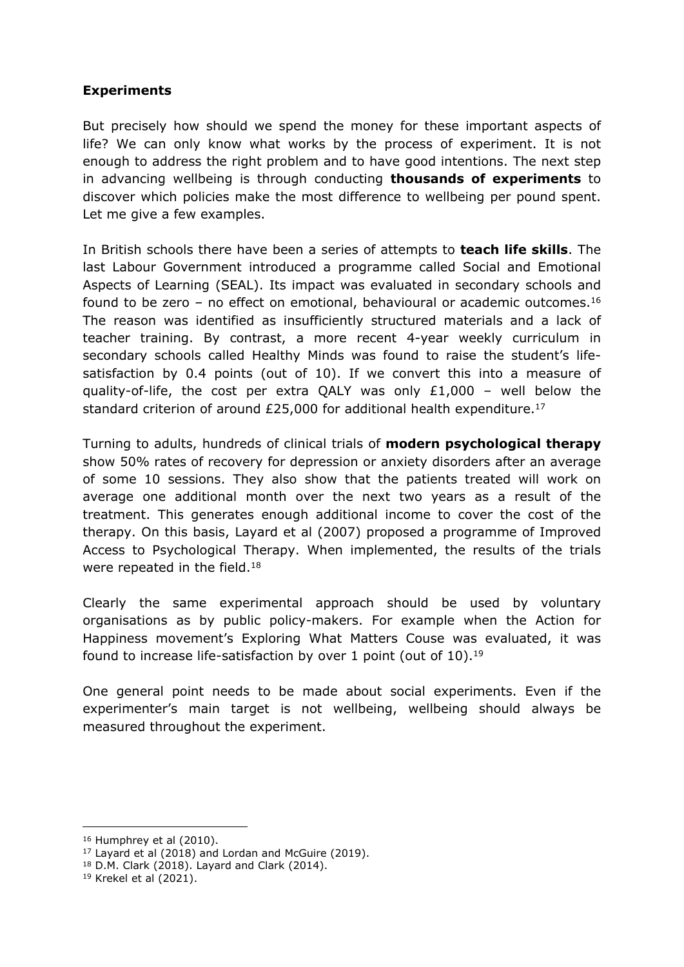#### **Experiments**

But precisely how should we spend the money for these important aspects of life? We can only know what works by the process of experiment. It is not enough to address the right problem and to have good intentions. The next step in advancing wellbeing is through conducting **thousands of experiments** to discover which policies make the most difference to wellbeing per pound spent. Let me give a few examples.

In British schools there have been a series of attempts to **teach life skills**. The last Labour Government introduced a programme called Social and Emotional Aspects of Learning (SEAL). Its impact was evaluated in secondary schools and found to be zero – no effect on emotional, behavioural or academic outcomes.<sup>16</sup> The reason was identified as insufficiently structured materials and a lack of teacher training. By contrast, a more recent 4-year weekly curriculum in secondary schools called Healthy Minds was found to raise the student's lifesatisfaction by 0.4 points (out of 10). If we convert this into a measure of quality-of-life, the cost per extra QALY was only £1,000 – well below the standard criterion of around £25,000 for additional health expenditure.<sup>17</sup>

Turning to adults, hundreds of clinical trials of **modern psychological therapy** show 50% rates of recovery for depression or anxiety disorders after an average of some 10 sessions. They also show that the patients treated will work on average one additional month over the next two years as a result of the treatment. This generates enough additional income to cover the cost of the therapy. On this basis, Layard et al (2007) proposed a programme of Improved Access to Psychological Therapy. When implemented, the results of the trials were repeated in the field.<sup>18</sup>

Clearly the same experimental approach should be used by voluntary organisations as by public policy-makers. For example when the Action for Happiness movement's Exploring What Matters Couse was evaluated, it was found to increase life-satisfaction by over 1 point (out of 10).<sup>19</sup>

One general point needs to be made about social experiments. Even if the experimenter's main target is not wellbeing, wellbeing should always be measured throughout the experiment.

<sup>16</sup> Humphrey et al (2010).

 $17$  Layard et al (2018) and Lordan and McGuire (2019).

<sup>18</sup> D.M. Clark (2018). Layard and Clark (2014).

 $19$  Krekel et al (2021).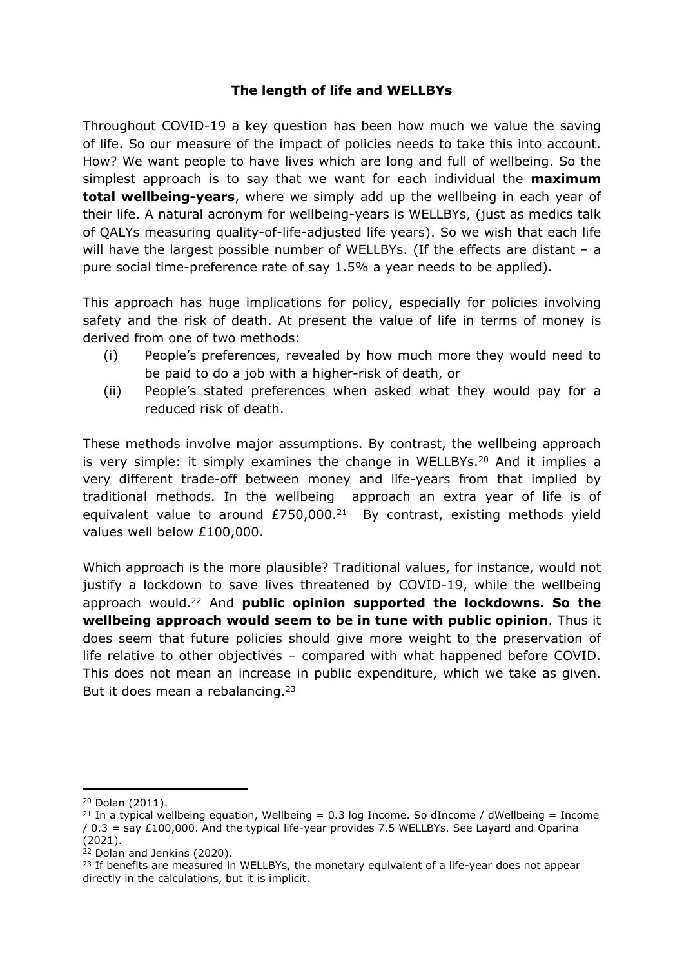## **The length of life and WELLBYs**

Throughout COVID-19 a key question has been how much we value the saving of life. So our measure of the impact of policies needs to take this into account. How? We want people to have lives which are long and full of wellbeing. So the simplest approach is to say that we want for each individual the **maximum total wellbeing-years**, where we simply add up the wellbeing in each year of their life. A natural acronym for wellbeing-years is WELLBYs, (just as medics talk of QALYs measuring quality-of-life-adjusted life years). So we wish that each life will have the largest possible number of WELLBYs. (If the effects are distant – a pure social time-preference rate of say 1.5% a year needs to be applied).

This approach has huge implications for policy, especially for policies involving safety and the risk of death. At present the value of life in terms of money is derived from one of two methods:

- (i) People's preferences, revealed by how much more they would need to be paid to do a job with a higher-risk of death, or
- (ii) People's stated preferences when asked what they would pay for a reduced risk of death.

These methods involve major assumptions. By contrast, the wellbeing approach is very simple: it simply examines the change in WELLBYs.<sup>20</sup> And it implies a very different trade-off between money and life-years from that implied by traditional methods. In the wellbeing approach an extra year of life is of equivalent value to around  $E750,000.<sup>21</sup>$  By contrast, existing methods yield values well below £100,000.

Which approach is the more plausible? Traditional values, for instance, would not justify a lockdown to save lives threatened by COVID-19, while the wellbeing approach would.<sup>22</sup> And **public opinion supported the lockdowns. So the wellbeing approach would seem to be in tune with public opinion**. Thus it does seem that future policies should give more weight to the preservation of life relative to other objectives – compared with what happened before COVID. This does not mean an increase in public expenditure, which we take as given. But it does mean a rebalancing.<sup>23</sup>

<sup>20</sup> Dolan (2011).

<sup>&</sup>lt;sup>21</sup> In a typical wellbeing equation, Wellbeing = 0.3 log Income. So dIncome / dWellbeing = Income / 0.3 = say £100,000. And the typical life-year provides 7.5 WELLBYs. See Layard and Oparina (2021).

<sup>22</sup> Dolan and Jenkins (2020).

<sup>&</sup>lt;sup>23</sup> If benefits are measured in WELLBYs, the monetary equivalent of a life-year does not appear directly in the calculations, but it is implicit.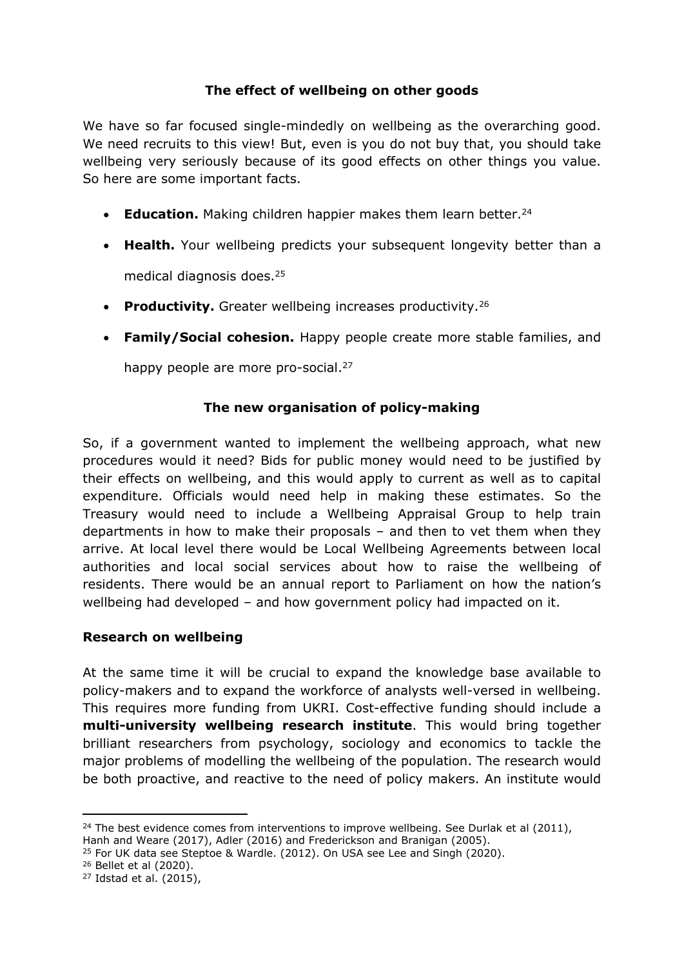## **The effect of wellbeing on other goods**

We have so far focused single-mindedly on wellbeing as the overarching good. We need recruits to this view! But, even is you do not buy that, you should take wellbeing very seriously because of its good effects on other things you value. So here are some important facts.

- **Education.** Making children happier makes them learn better.<sup>24</sup>
- **Health.** Your wellbeing predicts your subsequent longevity better than a medical diagnosis does.<sup>25</sup>
- **Productivity.** Greater wellbeing increases productivity.<sup>26</sup>
- **Family/Social cohesion.** Happy people create more stable families, and

happy people are more pro-social.<sup>27</sup>

## **The new organisation of policy-making**

So, if a government wanted to implement the wellbeing approach, what new procedures would it need? Bids for public money would need to be justified by their effects on wellbeing, and this would apply to current as well as to capital expenditure. Officials would need help in making these estimates. So the Treasury would need to include a Wellbeing Appraisal Group to help train departments in how to make their proposals – and then to vet them when they arrive. At local level there would be Local Wellbeing Agreements between local authorities and local social services about how to raise the wellbeing of residents. There would be an annual report to Parliament on how the nation's wellbeing had developed – and how government policy had impacted on it.

#### **Research on wellbeing**

At the same time it will be crucial to expand the knowledge base available to policy-makers and to expand the workforce of analysts well-versed in wellbeing. This requires more funding from UKRI. Cost-effective funding should include a **multi-university wellbeing research institute**. This would bring together brilliant researchers from psychology, sociology and economics to tackle the major problems of modelling the wellbeing of the population. The research would be both proactive, and reactive to the need of policy makers. An institute would

 $24$  The best evidence comes from interventions to improve wellbeing. See Durlak et al (2011), Hanh and Weare (2017), Adler (2016) and Frederickson and Branigan (2005).

<sup>25</sup> For UK data see Steptoe & Wardle. (2012). On USA see Lee and Singh (2020).

<sup>26</sup> Bellet et al (2020).

<sup>27</sup> Idstad et al. (2015),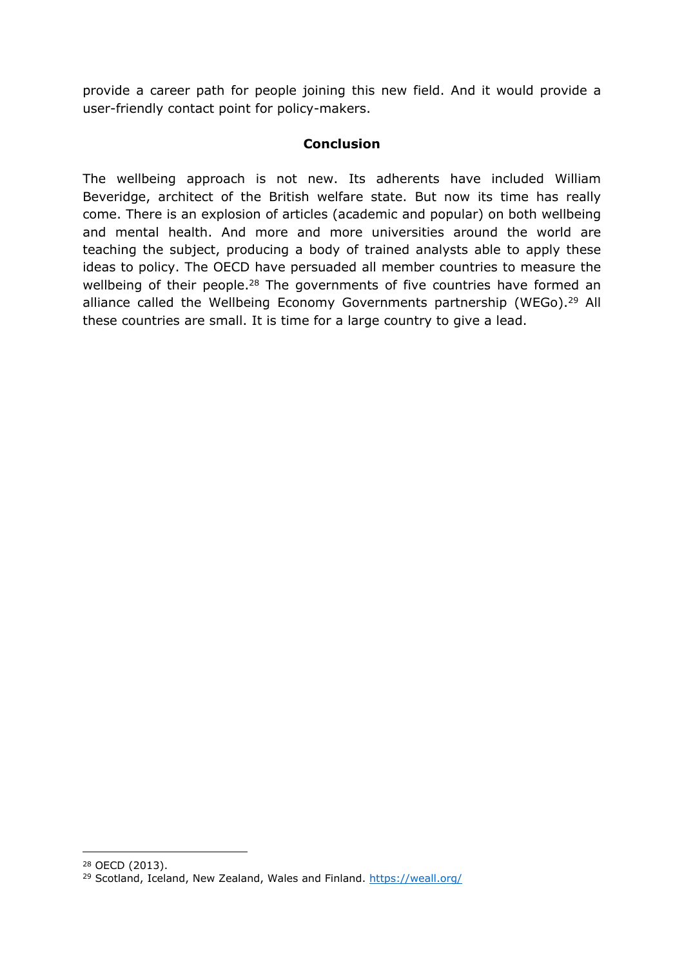provide a career path for people joining this new field. And it would provide a user-friendly contact point for policy-makers.

#### **Conclusion**

The wellbeing approach is not new. Its adherents have included William Beveridge, architect of the British welfare state. But now its time has really come. There is an explosion of articles (academic and popular) on both wellbeing and mental health. And more and more universities around the world are teaching the subject, producing a body of trained analysts able to apply these ideas to policy. The OECD have persuaded all member countries to measure the wellbeing of their people.<sup>28</sup> The governments of five countries have formed an alliance called the Wellbeing Economy Governments partnership (WEGo).<sup>29</sup> All these countries are small. It is time for a large country to give a lead.

<sup>28</sup> OECD (2013).

<sup>29</sup> Scotland, Iceland, New Zealand, Wales and Finland. <https://weall.org/>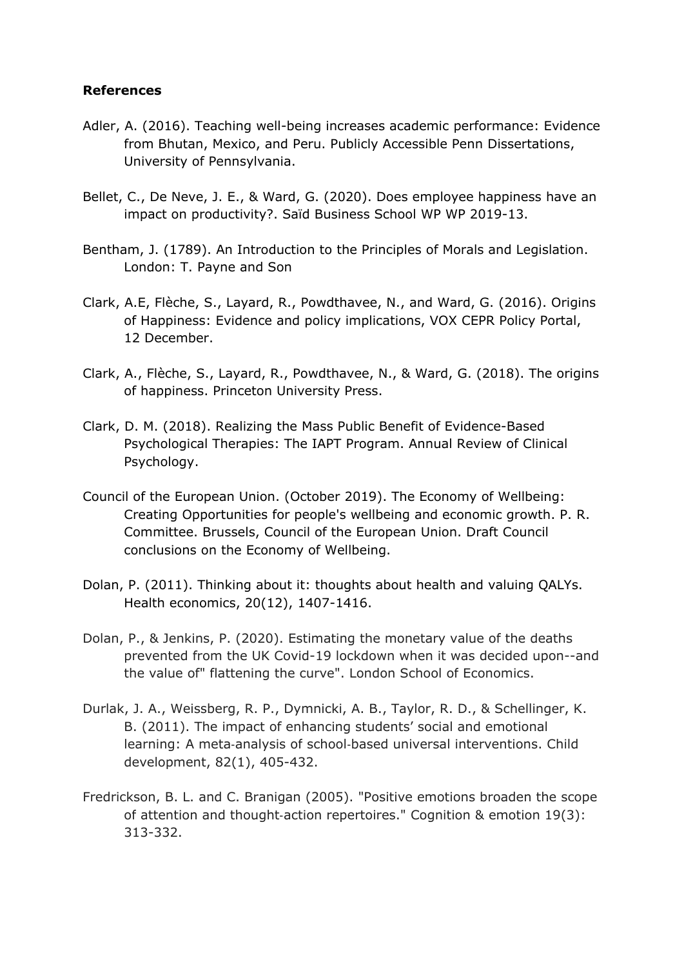#### **References**

- Adler, A. (2016). Teaching well-being increases academic performance: Evidence from Bhutan, Mexico, and Peru. Publicly Accessible Penn Dissertations, University of Pennsylvania.
- Bellet, C., De Neve, J. E., & Ward, G. (2020). Does employee happiness have an impact on productivity?. Saïd Business School WP WP 2019-13.
- Bentham, J. (1789). An Introduction to the Principles of Morals and Legislation. London: T. Payne and Son
- Clark, A.E, Flèche, S., Layard, R., Powdthavee, N., and Ward, G. (2016). Origins of Happiness: Evidence and policy implications, VOX CEPR Policy Portal, 12 December.
- Clark, A., Flèche, S., Layard, R., Powdthavee, N., & Ward, G. (2018). The origins of happiness. Princeton University Press.
- Clark, D. M. (2018). Realizing the Mass Public Benefit of Evidence-Based Psychological Therapies: The IAPT Program. Annual Review of Clinical Psychology.
- Council of the European Union. (October 2019). The Economy of Wellbeing: Creating Opportunities for people's wellbeing and economic growth. P. R. Committee. Brussels, Council of the European Union. Draft Council conclusions on the Economy of Wellbeing.
- Dolan, P. (2011). Thinking about it: thoughts about health and valuing QALYs. Health economics, 20(12), 1407-1416.
- Dolan, P., & Jenkins, P. (2020). Estimating the monetary value of the deaths prevented from the UK Covid-19 lockdown when it was decided upon--and the value of" flattening the curve". London School of Economics.
- Durlak, J. A., Weissberg, R. P., Dymnicki, A. B., Taylor, R. D., & Schellinger, K. B. (2011). The impact of enhancing students' social and emotional learning: A meta‐analysis of school‐based universal interventions. Child development, 82(1), 405-432.
- Fredrickson, B. L. and C. Branigan (2005). "Positive emotions broaden the scope of attention and thought‐action repertoires." Cognition & emotion 19(3): 313-332.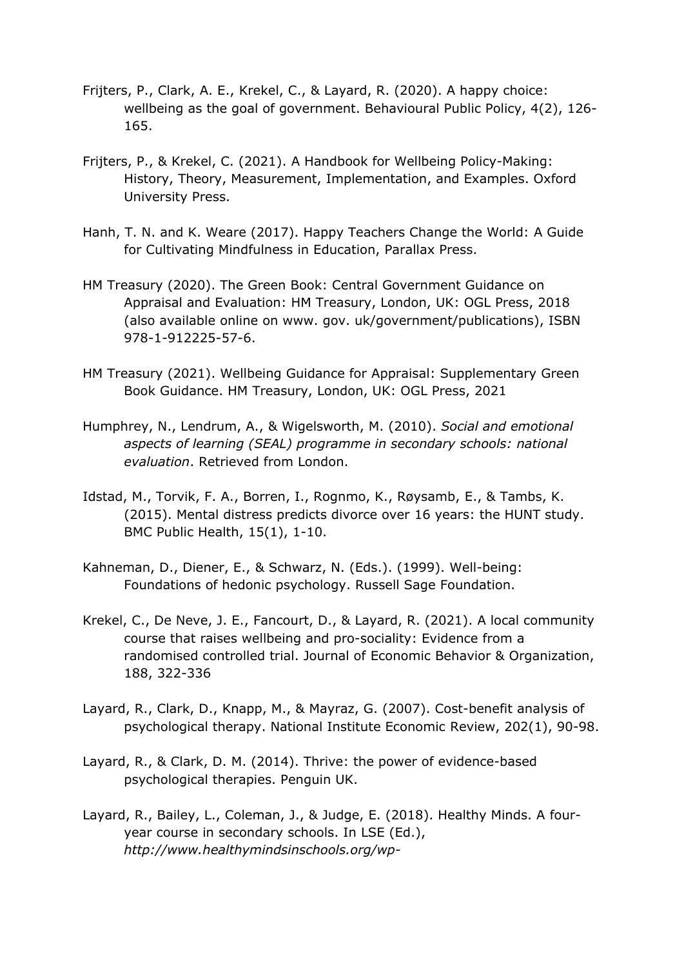- Frijters, P., Clark, A. E., Krekel, C., & Layard, R. (2020). A happy choice: wellbeing as the goal of government. Behavioural Public Policy, 4(2), 126- 165.
- Frijters, P., & Krekel, C. (2021). A Handbook for Wellbeing Policy-Making: History, Theory, Measurement, Implementation, and Examples. Oxford University Press.
- Hanh, T. N. and K. Weare (2017). Happy Teachers Change the World: A Guide for Cultivating Mindfulness in Education, Parallax Press.
- HM Treasury (2020). The Green Book: Central Government Guidance on Appraisal and Evaluation: HM Treasury, London, UK: OGL Press, 2018 (also available online on www. gov. uk/government/publications), ISBN 978-1-912225-57-6.
- HM Treasury (2021). Wellbeing Guidance for Appraisal: Supplementary Green Book Guidance. HM Treasury, London, UK: OGL Press, 2021
- Humphrey, N., Lendrum, A., & Wigelsworth, M. (2010). *Social and emotional aspects of learning (SEAL) programme in secondary schools: national evaluation*. Retrieved from London.
- Idstad, M., Torvik, F. A., Borren, I., Rognmo, K., Røysamb, E., & Tambs, K. (2015). Mental distress predicts divorce over 16 years: the HUNT study. BMC Public Health, 15(1), 1-10.
- Kahneman, D., Diener, E., & Schwarz, N. (Eds.). (1999). Well-being: Foundations of hedonic psychology. Russell Sage Foundation.
- Krekel, C., De Neve, J. E., Fancourt, D., & Layard, R. (2021). A local community course that raises wellbeing and pro-sociality: Evidence from a randomised controlled trial. Journal of Economic Behavior & Organization, 188, 322-336
- Layard, R., Clark, D., Knapp, M., & Mayraz, G. (2007). Cost-benefit analysis of psychological therapy. National Institute Economic Review, 202(1), 90-98.
- Layard, R., & Clark, D. M. (2014). Thrive: the power of evidence-based psychological therapies. Penguin UK.
- Layard, R., Bailey, L., Coleman, J., & Judge, E. (2018). Healthy Minds. A fouryear course in secondary schools. In LSE (Ed.), *[http://www.healthymindsinschools.org/wp-](http://www.healthymindsinschools.org/wp-content/uploads/2017/11/HealthyMinds-Pamphlet-181130.pdf)*